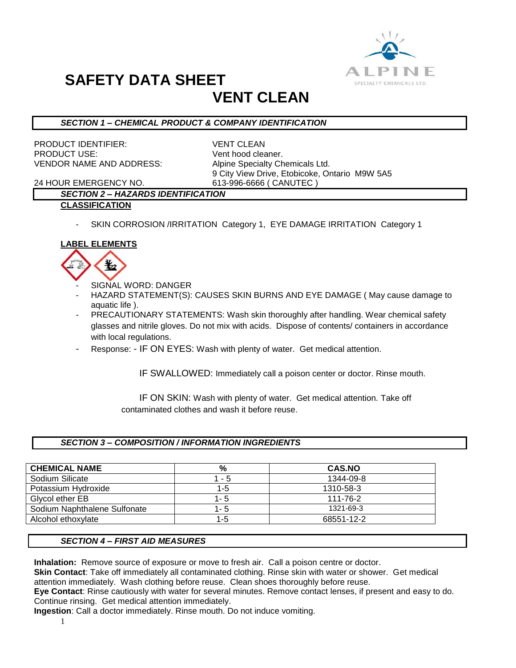

# **SAFETY DATA SHEET**

# **VENT CLEAN**

## *SECTION 1 – CHEMICAL PRODUCT & COMPANY IDENTIFICATION*

PRODUCT IDENTIFIER: VENT CLEAN PRODUCT USE: Vent hood cleaner. VENDOR NAME AND ADDRESS: Alpine Specialty Chemicals Ltd.

9 City View Drive, Etobicoke, Ontario M9W 5A5

24 HOUR EMERGENCY NO. 613-996-6666 ( CANUTEC )

# *SECTION 2 – HAZARDS IDENTIFICATION*

#### **CLASSIFICATION**

SKIN CORROSION /IRRITATION Category 1, EYE DAMAGE IRRITATION Category 1

## **LABEL ELEMENTS**



- SIGNAL WORD: DANGER
- HAZARD STATEMENT(S): CAUSES SKIN BURNS AND EYE DAMAGE ( May cause damage to aquatic life ).
- PRECAUTIONARY STATEMENTS: Wash skin thoroughly after handling. Wear chemical safety glasses and nitrile gloves. Do not mix with acids. Dispose of contents/ containers in accordance with local regulations.
- Response: IF ON EYES: Wash with plenty of water. Get medical attention.

IF SWALLOWED: Immediately call a poison center or doctor. Rinse mouth.

 IF ON SKIN: Wash with plenty of water. Get medical attention. Take off contaminated clothes and wash it before reuse.

### *SECTION 3 – COMPOSITION / INFORMATION INGREDIENTS*

| <b>CHEMICAL NAME</b>         | %       | <b>CAS.NO</b> |
|------------------------------|---------|---------------|
| Sodium Silicate              | - 5     | 1344-09-8     |
| Potassium Hydroxide          | 1-5     | 1310-58-3     |
| Glycol ether EB              | $1 - 5$ | 111-76-2      |
| Sodium Naphthalene Sulfonate | 1-5     | 1321-69-3     |
| Alcohol ethoxylate           | 1-5     | 68551-12-2    |

### *SECTION 4 – FIRST AID MEASURES*

**Inhalation:** Remove source of exposure or move to fresh air. Call a poison centre or doctor.

**Skin Contact**: Take off immediately all contaminated clothing. Rinse skin with water or shower. Get medical attention immediately. Wash clothing before reuse. Clean shoes thoroughly before reuse.

**Eye Contact**: Rinse cautiously with water for several minutes. Remove contact lenses, if present and easy to do. Continue rinsing. Get medical attention immediately.

**Ingestion**: Call a doctor immediately. Rinse mouth. Do not induce vomiting.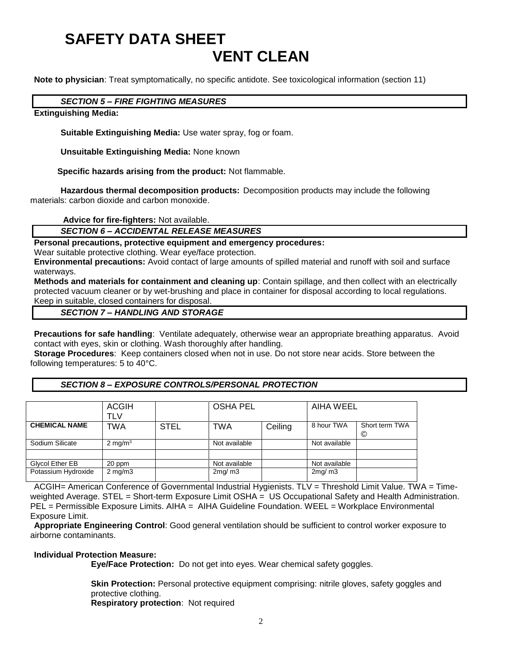# **SAFETY DATA SHEET VENT CLEAN**

**Note to physician**: Treat symptomatically, no specific antidote. See toxicological information (section 11)

#### *SECTION 5 – FIRE FIGHTING MEASURES*

#### **Extinguishing Media:**

**Suitable Extinguishing Media:** Use water spray, fog or foam.

**Unsuitable Extinguishing Media:** None known

 **Specific hazards arising from the product:** Not flammable.

**Hazardous thermal decomposition products:** Decomposition products may include the following materials: carbon dioxide and carbon monoxide.

**Advice for fire-fighters:** Not available.

#### *SECTION 6 – ACCIDENTAL RELEASE MEASURES*

**Personal precautions, protective equipment and emergency procedures:**

Wear suitable protective clothing. Wear eye/face protection.

**Environmental precautions:** Avoid contact of large amounts of spilled material and runoff with soil and surface waterways.

**Methods and materials for containment and cleaning up**: Contain spillage, and then collect with an electrically protected vacuum cleaner or by wet-brushing and place in container for disposal according to local regulations. Keep in suitable, closed containers for disposal.

#### *SECTION 7 – HANDLING AND STORAGE*

**Precautions for safe handling**: Ventilate adequately, otherwise wear an appropriate breathing apparatus. Avoid contact with eyes, skin or clothing. Wash thoroughly after handling.

**Storage Procedures**: Keep containers closed when not in use. Do not store near acids. Store between the following temperatures: 5 to 40°C.

#### *SECTION 8 – EXPOSURE CONTROLS/PERSONAL PROTECTION*

|                      | <b>ACGIH</b>       |             | <b>OSHA PEL</b> |         | AIHA WEEL     |                     |
|----------------------|--------------------|-------------|-----------------|---------|---------------|---------------------|
|                      | TLV                |             |                 |         |               |                     |
| <b>CHEMICAL NAME</b> | TWA                | <b>STEL</b> | TWA             | Ceiling | 8 hour TWA    | Short term TWA<br>© |
| Sodium Silicate      | $2 \text{ mg/m}^3$ |             | Not available   |         | Not available |                     |
|                      |                    |             |                 |         |               |                     |
| Glycol Ether EB      | 20 ppm             |             | Not available   |         | Not available |                     |
| Potassium Hydroxide  | $2 \text{ mg/m}$   |             | 2mg/m3          |         | 2mg/m3        |                     |

ACGIH= American Conference of Governmental Industrial Hygienists. TLV = Threshold Limit Value. TWA = Timeweighted Average. STEL = Short-term Exposure Limit OSHA = US Occupational Safety and Health Administration. PEL = Permissible Exposure Limits. AIHA = AIHA Guideline Foundation. WEEL = Workplace Environmental Exposure Limit.

**Appropriate Engineering Control**: Good general ventilation should be sufficient to control worker exposure to airborne contaminants.

#### **Individual Protection Measure:**

**Eye/Face Protection:** Do not get into eyes. Wear chemical safety goggles.

**Skin Protection:** Personal protective equipment comprising: nitrile gloves, safety goggles and protective clothing.

**Respiratory protection**: Not required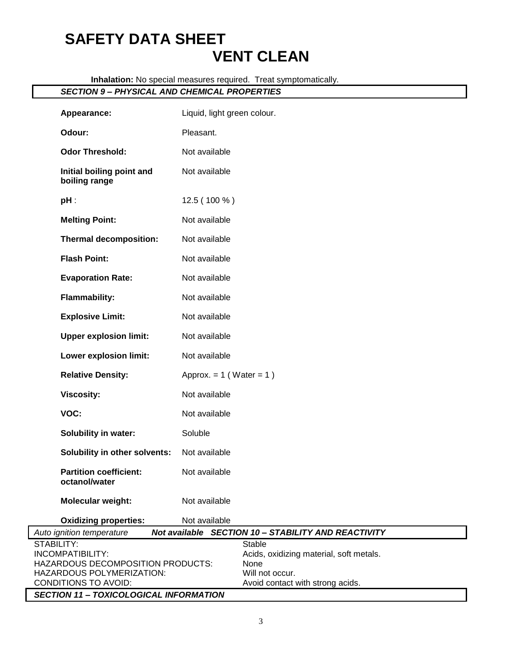# **SAFETY DATA SHEET VENT CLEAN**

**Inhalation:** No special measures required. Treat symptomatically.

### *SECTION 9 – PHYSICAL AND CHEMICAL PROPERTIES*

| Appearance:                                                                                                                     | Liquid, light green colour.                                                                                      |  |  |  |  |
|---------------------------------------------------------------------------------------------------------------------------------|------------------------------------------------------------------------------------------------------------------|--|--|--|--|
| Odour:                                                                                                                          | Pleasant.                                                                                                        |  |  |  |  |
| <b>Odor Threshold:</b>                                                                                                          | Not available                                                                                                    |  |  |  |  |
| Initial boiling point and<br>boiling range                                                                                      | Not available                                                                                                    |  |  |  |  |
| $pH$ :                                                                                                                          | 12.5 (100 %)                                                                                                     |  |  |  |  |
| <b>Melting Point:</b>                                                                                                           | Not available                                                                                                    |  |  |  |  |
| <b>Thermal decomposition:</b>                                                                                                   | Not available                                                                                                    |  |  |  |  |
| <b>Flash Point:</b>                                                                                                             | Not available                                                                                                    |  |  |  |  |
| <b>Evaporation Rate:</b>                                                                                                        | Not available                                                                                                    |  |  |  |  |
| <b>Flammability:</b>                                                                                                            | Not available                                                                                                    |  |  |  |  |
| <b>Explosive Limit:</b>                                                                                                         | Not available                                                                                                    |  |  |  |  |
| <b>Upper explosion limit:</b>                                                                                                   | Not available                                                                                                    |  |  |  |  |
| Lower explosion limit:                                                                                                          | Not available                                                                                                    |  |  |  |  |
| <b>Relative Density:</b>                                                                                                        | Approx. = $1$ (Water = $1$ )                                                                                     |  |  |  |  |
| <b>Viscosity:</b>                                                                                                               | Not available                                                                                                    |  |  |  |  |
| VOC:                                                                                                                            | Not available                                                                                                    |  |  |  |  |
| Solubility in water:                                                                                                            | Soluble                                                                                                          |  |  |  |  |
| Solubility in other solvents:                                                                                                   | Not available                                                                                                    |  |  |  |  |
| <b>Partition coefficient:</b><br>octanol/water                                                                                  | Not available                                                                                                    |  |  |  |  |
| <b>Molecular weight:</b>                                                                                                        | Not available                                                                                                    |  |  |  |  |
| <b>Oxidizing properties:</b>                                                                                                    | Not available                                                                                                    |  |  |  |  |
| Auto ignition temperature                                                                                                       | Not available SECTION 10 - STABILITY AND REACTIVITY                                                              |  |  |  |  |
| STABILITY:<br><b>INCOMPATIBILITY:</b><br>HAZARDOUS DECOMPOSITION PRODUCTS:<br>HAZARDOUS POLYMERIZATION:<br>CONDITIONS TO AVOID: | Stable<br>Acids, oxidizing material, soft metals.<br>None<br>Will not occur.<br>Avoid contact with strong acids. |  |  |  |  |
| <b>SECTION 11 - TOXICOLOGICAL INFORMATION</b>                                                                                   |                                                                                                                  |  |  |  |  |